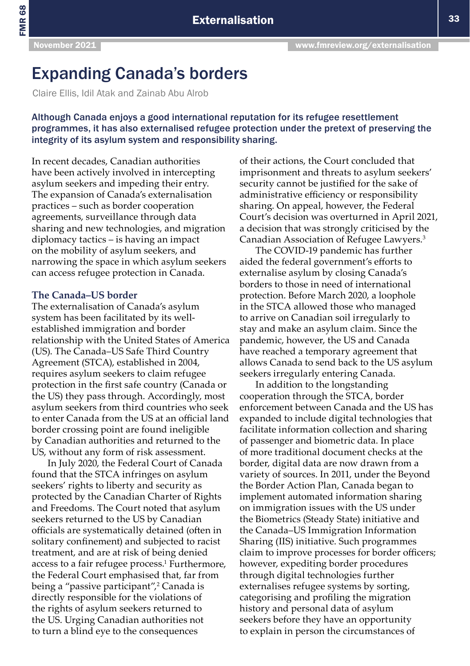FMR 68

# Expanding Canada's borders

Claire Ellis, Idil Atak and Zainab Abu Alrob

Although Canada enjoys a good international reputation for its refugee resettlement programmes, it has also externalised refugee protection under the pretext of preserving the integrity of its asylum system and responsibility sharing.

In recent decades, Canadian authorities have been actively involved in intercepting asylum seekers and impeding their entry. The expansion of Canada's externalisation practices – such as border cooperation agreements, surveillance through data sharing and new technologies, and migration diplomacy tactics – is having an impact on the mobility of asylum seekers, and narrowing the space in which asylum seekers can access refugee protection in Canada.

#### **The Canada–US border**

The externalisation of Canada's asylum system has been facilitated by its wellestablished immigration and border relationship with the United States of America (US). The Canada–US Safe Third Country Agreement (STCA), established in 2004, requires asylum seekers to claim refugee protection in the first safe country (Canada or the US) they pass through. Accordingly, most asylum seekers from third countries who seek to enter Canada from the US at an official land border crossing point are found ineligible by Canadian authorities and returned to the US, without any form of risk assessment.

In July 2020, the Federal Court of Canada found that the STCA infringes on asylum seekers' rights to liberty and security as protected by the Canadian Charter of Rights and Freedoms. The Court noted that asylum seekers returned to the US by Canadian officials are systematically detained (often in solitary confinement) and subjected to racist treatment, and are at risk of being denied access to a fair refugee process.<sup>1</sup> Furthermore, the Federal Court emphasised that, far from being a "passive participant",<sup>2</sup> Canada is directly responsible for the violations of the rights of asylum seekers returned to the US. Urging Canadian authorities not to turn a blind eye to the consequences

of their actions, the Court concluded that imprisonment and threats to asylum seekers' security cannot be justified for the sake of administrative efficiency or responsibility sharing. On appeal, however, the Federal Court's decision was overturned in April 2021, a decision that was strongly criticised by the Canadian Association of Refugee Lawyers.<sup>3</sup>

The COVID-19 pandemic has further aided the federal government's efforts to externalise asylum by closing Canada's borders to those in need of international protection. Before March 2020, a loophole in the STCA allowed those who managed to arrive on Canadian soil irregularly to stay and make an asylum claim. Since the pandemic, however, the US and Canada have reached a temporary agreement that allows Canada to send back to the US asylum seekers irregularly entering Canada.

In addition to the longstanding cooperation through the STCA, border enforcement between Canada and the US has expanded to include digital technologies that facilitate information collection and sharing of passenger and biometric data. In place of more traditional document checks at the border, digital data are now drawn from a variety of sources. In 2011, under the Beyond the Border Action Plan, Canada began to implement automated information sharing on immigration issues with the US under the Biometrics (Steady State) initiative and the Canada–US Immigration Information Sharing (IIS) initiative. Such programmes claim to improve processes for border officers; however, expediting border procedures through digital technologies further externalises refugee systems by sorting, categorising and profiling the migration history and personal data of asylum seekers before they have an opportunity to explain in person the circumstances of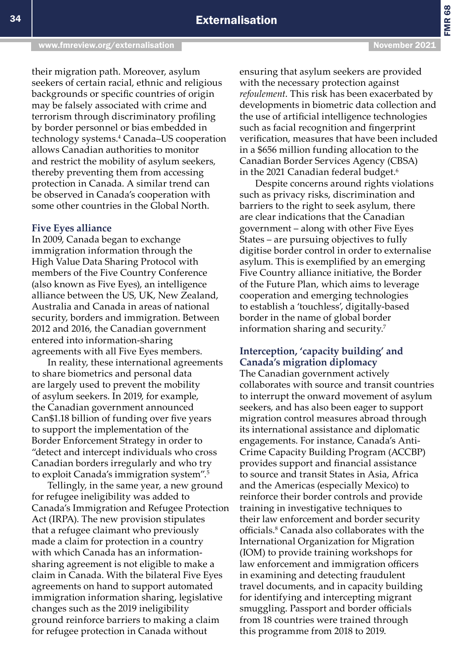their migration path. Moreover, asylum seekers of certain racial, ethnic and religious backgrounds or specific countries of origin may be falsely associated with crime and terrorism through discriminatory profiling by border personnel or bias embedded in technology systems.4 Canada–US cooperation allows Canadian authorities to monitor and restrict the mobility of asylum seekers, thereby preventing them from accessing

protection in Canada. A similar trend can be observed in Canada's cooperation with some other countries in the Global North.

## **Five Eyes alliance**

In 2009, Canada began to exchange immigration information through the High Value Data Sharing Protocol with members of the Five Country Conference (also known as Five Eyes), an intelligence alliance between the US, UK, New Zealand, Australia and Canada in areas of national security, borders and immigration. Between 2012 and 2016, the Canadian government entered into information-sharing agreements with all Five Eyes members.

In reality, these international agreements to share biometrics and personal data are largely used to prevent the mobility of asylum seekers. In 2019, for example, the Canadian government announced Can\$1.18 billion of funding over five years to support the implementation of the Border Enforcement Strategy in order to "detect and intercept individuals who cross Canadian borders irregularly and who try to exploit Canada's immigration system".<sup>5</sup>

Tellingly, in the same year, a new ground for refugee ineligibility was added to Canada's Immigration and Refugee Protection Act (IRPA). The new provision stipulates that a refugee claimant who previously made a claim for protection in a country with which Canada has an informationsharing agreement is not eligible to make a claim in Canada. With the bilateral Five Eyes agreements on hand to support automated immigration information sharing, legislative changes such as the 2019 ineligibility ground reinforce barriers to making a claim for refugee protection in Canada without

ensuring that asylum seekers are provided with the necessary protection against *refoulement*. This risk has been exacerbated by developments in biometric data collection and the use of artificial intelligence technologies such as facial recognition and fingerprint verification, measures that have been included in a \$656 million funding allocation to the Canadian Border Services Agency (CBSA) in the 2021 Canadian federal budget.<sup>6</sup>

Despite concerns around rights violations such as privacy risks, discrimination and barriers to the right to seek asylum, there are clear indications that the Canadian government – along with other Five Eyes States – are pursuing objectives to fully digitise border control in order to externalise asylum. This is exemplified by an emerging Five Country alliance initiative, the Border of the Future Plan, which aims to leverage cooperation and emerging technologies to establish a 'touchless', digitally-based border in the name of global border information sharing and security.7

## **Interception, 'capacity building' and Canada's migration diplomacy**

The Canadian government actively collaborates with source and transit countries to interrupt the onward movement of asylum seekers, and has also been eager to support migration control measures abroad through its international assistance and diplomatic engagements. For instance, Canada's Anti-Crime Capacity Building Program (ACCBP) provides support and financial assistance to source and transit States in Asia, Africa and the Americas (especially Mexico) to reinforce their border controls and provide training in investigative techniques to their law enforcement and border security officials.<sup>8</sup> Canada also collaborates with the International Organization for Migration (IOM) to provide training workshops for law enforcement and immigration officers in examining and detecting fraudulent travel documents, and in capacity building for identifying and intercepting migrant smuggling. Passport and border officials from 18 countries were trained through this programme from 2018 to 2019.